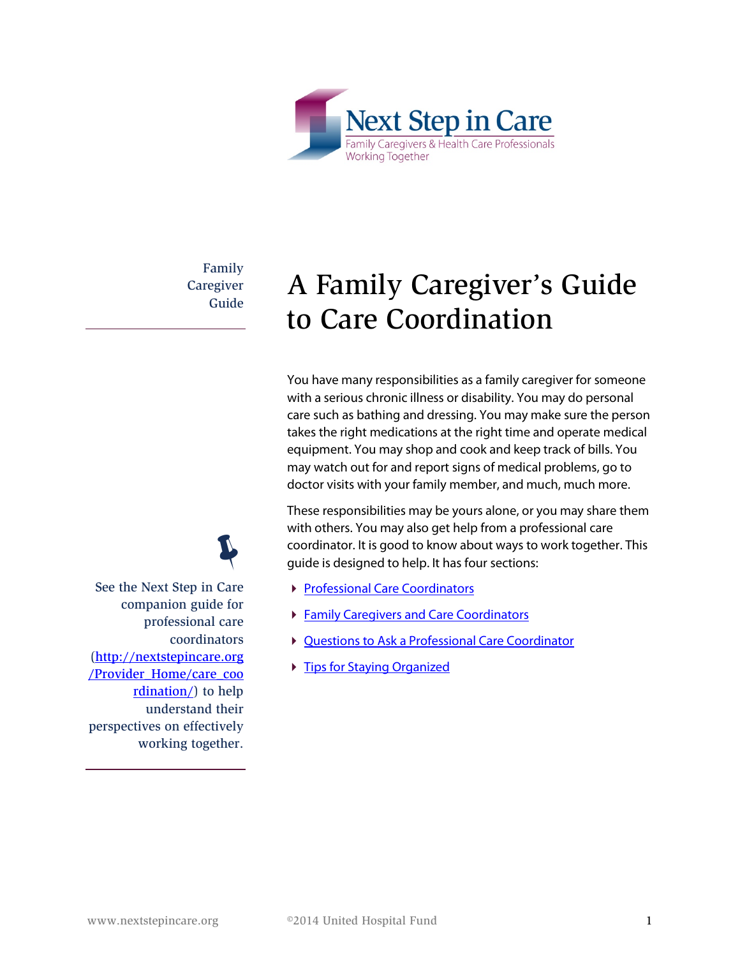

Family **Caregiver** Guide

 $\ddot{\psi}$ 

# A Family Caregiver's Guide to Care Coordination

You have many responsibilities as a family caregiver for someone with a serious chronic illness or disability. You may do personal care such as bathing and dressing. You may make sure the person takes the right medications at the right time and operate medical equipment. You may shop and cook and keep track of bills. You may watch out for and report signs of medical problems, go to doctor visits with your family member, and much, much more.

These responsibilities may be yours alone, or you may share them with others. You may also get help from a professional care coordinator. It is good to know about ways to work together. This guide is designed to help. It has four sections:

- **[Professional Care Coordinators](#page-1-0)**
- **[Family Caregivers and Care Coordinators](#page-2-0)**
- ▶ [Questions to Ask a Professional Care Coordinator](#page-4-0)
- **Fips for Staying Organized**

See the Next Step in Care companion guide for professional care coordinators [\(http://nextstepincare.org](http://nextstepincare.org/Provider_Home/care_coordination/) [/Provider\\_Home/care\\_coo](http://nextstepincare.org/Provider_Home/care_coordination/) [rdination/\)](http://nextstepincare.org/Provider_Home/care_coordination/) to help understand their perspectives on effectively working together.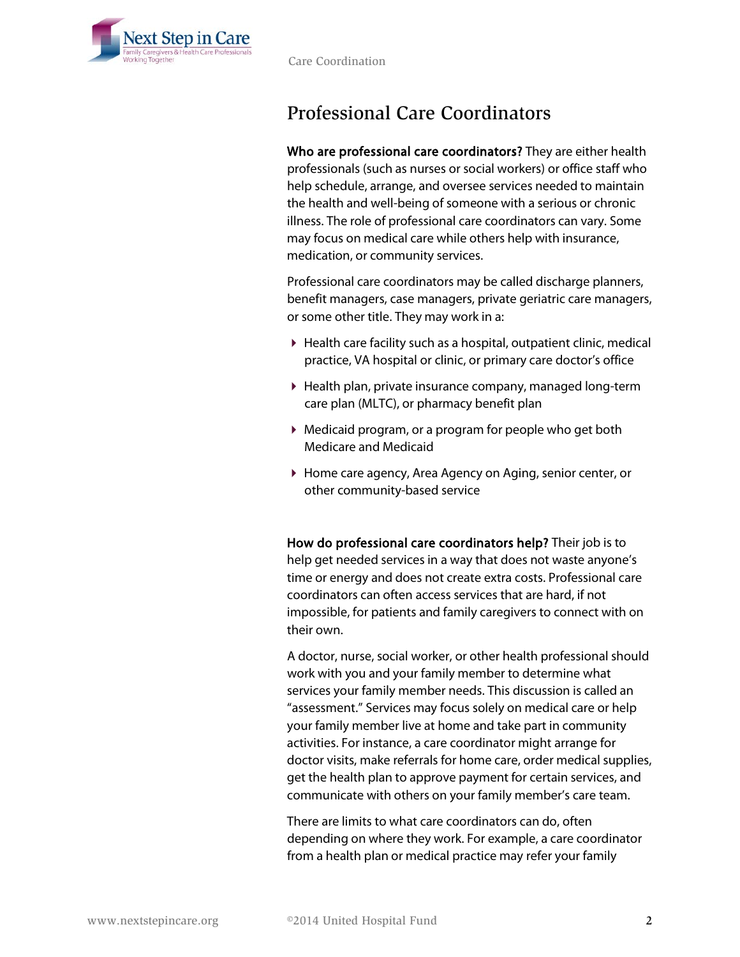

Care Coordination

## <span id="page-1-0"></span>Professional Care Coordinators

Who are professional care coordinators? They are either health professionals (such as nurses or social workers) or office staff who help schedule, arrange, and oversee services needed to maintain the health and well-being of someone with a serious or chronic illness. The role of professional care coordinators can vary. Some may focus on medical care while others help with insurance, medication, or community services.

Professional care coordinators may be called discharge planners, benefit managers, case managers, private geriatric care managers, or some other title. They may work in a:

- Health care facility such as a hospital, outpatient clinic, medical practice, VA hospital or clinic, or primary care doctor's office
- Health plan, private insurance company, managed long-term care plan (MLTC), or pharmacy benefit plan
- Medicaid program, or a program for people who get both Medicare and Medicaid
- Home care agency, Area Agency on Aging, senior center, or other community-based service

How do professional care coordinators help? Their job is to help get needed services in a way that does not waste anyone's time or energy and does not create extra costs. Professional care coordinators can often access services that are hard, if not impossible, for patients and family caregivers to connect with on their own.

A doctor, nurse, social worker, or other health professional should work with you and your family member to determine what services your family member needs. This discussion is called an "assessment." Services may focus solely on medical care or help your family member live at home and take part in community activities. For instance, a care coordinator might arrange for doctor visits, make referrals for home care, order medical supplies, get the health plan to approve payment for certain services, and communicate with others on your family member's care team.

There are limits to what care coordinators can do, often depending on where they work. For example, a care coordinator from a health plan or medical practice may refer your family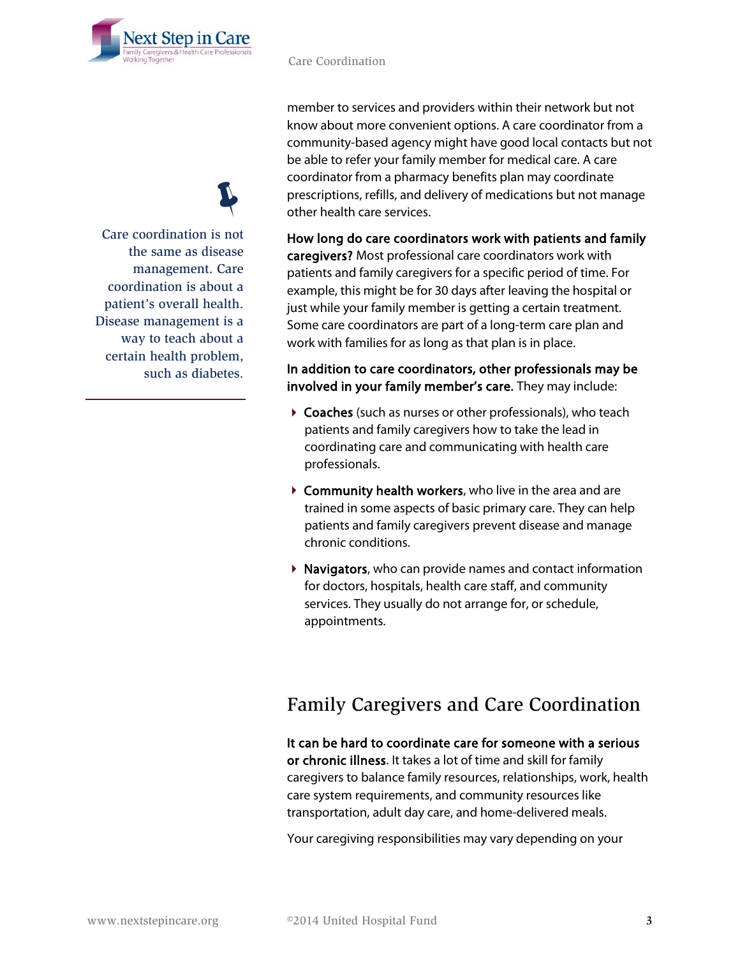

Care Coordination

member to services and providers within their network but not know about more convenient options. A care coordinator from a community-based agency might have good local contacts but not be able to refer your family member for medical care. A care coordinator from a pharmacy benefits plan may coordinate prescriptions, refills, and delivery of medications but not manage other health care services.

How long do care coordinators work with patients and family caregivers? Most professional care coordinators work with patients and family caregivers for a specific period of time. For example, this might be for 30 days after leaving the hospital or just while your family member is getting a certain treatment. Some care coordinators are part of a long-term care plan and work with families for as long as that plan is in place.

### In addition to care coordinators, other professionals may be involved in your family member's care. They may include:

- Coaches (such as nurses or other professionals), who teach patients and family caregivers how to take the lead in coordinating care and communicating with health care professionals.
- ▶ Community health workers, who live in the area and are trained in some aspects of basic primary care. They can help patients and family caregivers prevent disease and manage chronic conditions.
- $\triangleright$  **Navigators**, who can provide names and contact information for doctors, hospitals, health care staff, and community services. They usually do not arrange for, or schedule, appointments.

### <span id="page-2-0"></span>Family Caregivers and Care Coordination

It can be hard to coordinate care for someone with a serious or chronic illness. It takes a lot of time and skill for family caregivers to balance family resources, relationships, work, health care system requirements, and community resources like transportation, adult day care, and home-delivered meals.

Your caregiving responsibilities may vary depending on your

Care coordination is not  $\ddot{\psi}$ the same as disease management. Care coordination is about a patient's overall health. Disease management is a way to teach about a certain health problem, such as diabetes.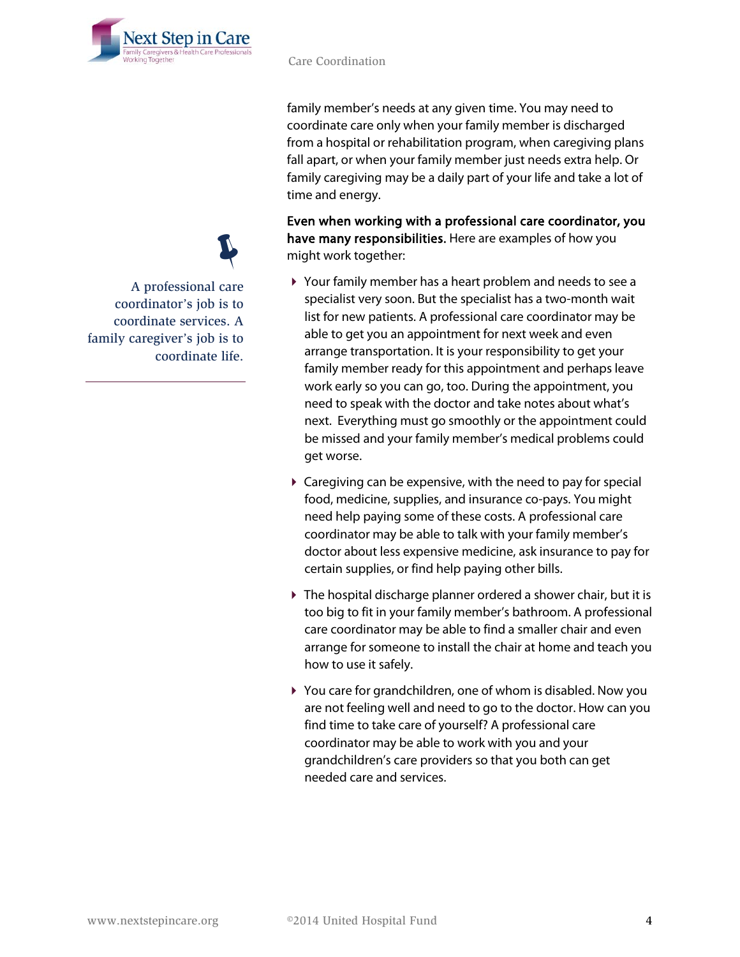

family member's needs at any given time. You may need to coordinate care only when your family member is discharged from a hospital or rehabilitation program, when caregiving plans fall apart, or when your family member just needs extra help. Or family caregiving may be a daily part of your life and take a lot of time and energy.

Even when working with a professional care coordinator, you have many responsibilities. Here are examples of how you might work together:

- Your family member has a heart problem and needs to see a specialist very soon. But the specialist has a two-month wait list for new patients. A professional care coordinator may be able to get you an appointment for next week and even arrange transportation. It is your responsibility to get your family member ready for this appointment and perhaps leave work early so you can go, too. During the appointment, you need to speak with the doctor and take notes about what's next. Everything must go smoothly or the appointment could be missed and your family member's medical problems could get worse.
- Caregiving can be expensive, with the need to pay for special food, medicine, supplies, and insurance co-pays. You might need help paying some of these costs. A professional care coordinator may be able to talk with your family member's doctor about less expensive medicine, ask insurance to pay for certain supplies, or find help paying other bills.
- The hospital discharge planner ordered a shower chair, but it is too big to fit in your family member's bathroom. A professional care coordinator may be able to find a smaller chair and even arrange for someone to install the chair at home and teach you how to use it safely.
- You care for grandchildren, one of whom is disabled. Now you are not feeling well and need to go to the doctor. How can you find time to take care of yourself? A professional care coordinator may be able to work with you and your grandchildren's care providers so that you both can get needed care and services.

A professional care  $\ddot{\psi}$ coordinator's job is to coordinate services. A family caregiver's job is to coordinate life.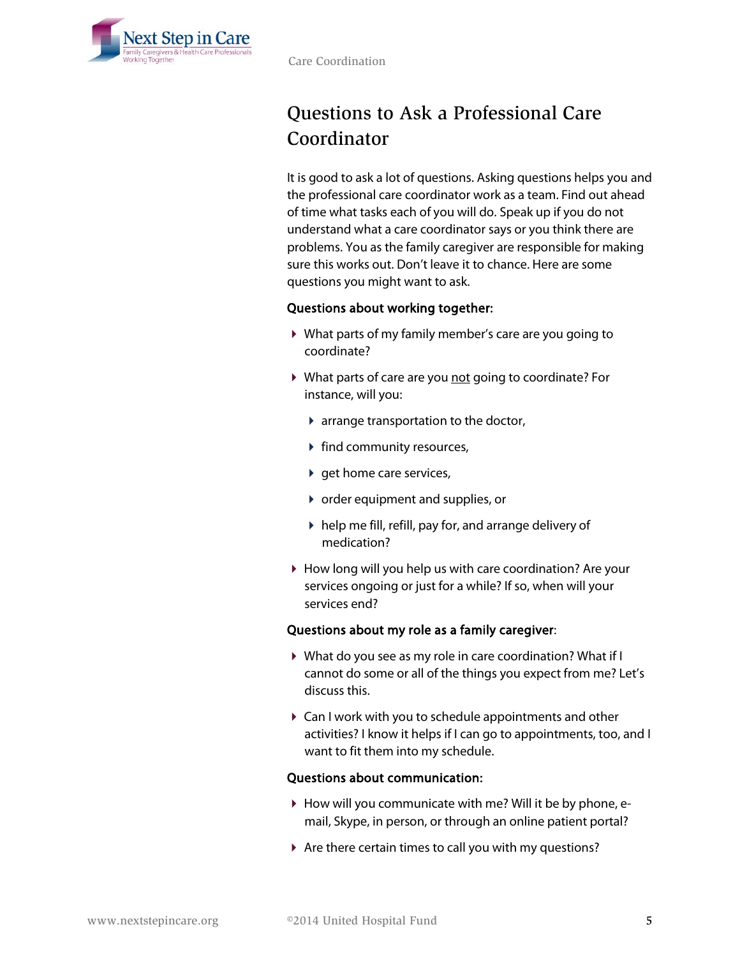

## <span id="page-4-0"></span>Questions to Ask a Professional Care Coordinator

It is good to ask a lot of questions. Asking questions helps you and the professional care coordinator work as a team. Find out ahead of time what tasks each of you will do. Speak up if you do not understand what a care coordinator says or you think there are problems. You as the family caregiver are responsible for making sure this works out. Don't leave it to chance. Here are some questions you might want to ask.

#### Questions about working together:

- What parts of my family member's care are you going to coordinate?
- ▶ What parts of care are you not going to coordinate? For instance, will you:
	- arrange transportation to the doctor,
	- $\blacktriangleright$  find community resources,
	- $\rightarrow$  get home care services,
	- order equipment and supplies, or
	- $\triangleright$  help me fill, refill, pay for, and arrange delivery of medication?
- How long will you help us with care coordination? Are your services ongoing or just for a while? If so, when will your services end?

#### Questions about my role as a family caregiver:

- What do you see as my role in care coordination? What if I cannot do some or all of the things you expect from me? Let's discuss this.
- Can I work with you to schedule appointments and other activities? I know it helps if I can go to appointments, too, and I want to fit them into my schedule.

#### Questions about communication:

- How will you communicate with me? Will it be by phone, email, Skype, in person, or through an online patient portal?
- Are there certain times to call you with my questions?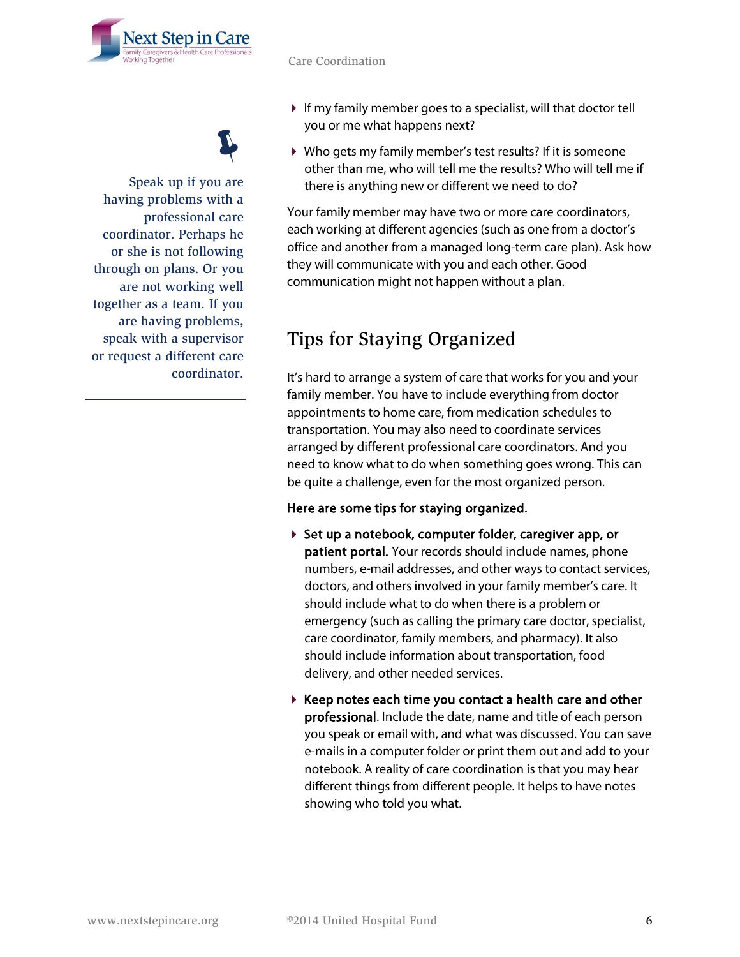

 If my family member goes to a specialist, will that doctor tell you or me what happens next?

 Who gets my family member's test results? If it is someone other than me, who will tell me the results? Who will tell me if there is anything new or different we need to do?

Your family member may have two or more care coordinators, each working at different agencies (such as one from a doctor's office and another from a managed long-term care plan). Ask how they will communicate with you and each other. Good communication might not happen without a plan.

### <span id="page-5-0"></span>Tips for Staying Organized

It's hard to arrange a system of care that works for you and your family member. You have to include everything from doctor appointments to home care, from medication schedules to transportation. You may also need to coordinate services arranged by different professional care coordinators. And you need to know what to do when something goes wrong. This can be quite a challenge, even for the most organized person.

#### Here are some tips for staying organized.

- Set up a notebook, computer folder, caregiver app, or patient portal. Your records should include names, phone numbers, e-mail addresses, and other ways to contact services, doctors, and others involved in your family member's care. It should include what to do when there is a problem or emergency (such as calling the primary care doctor, specialist, care coordinator, family members, and pharmacy). It also should include information about transportation, food delivery, and other needed services.
- $\triangleright$  Keep notes each time you contact a health care and other professional. Include the date, name and title of each person you speak or email with, and what was discussed. You can save e-mails in a computer folder or print them out and add to your notebook. A reality of care coordination is that you may hear different things from different people. It helps to have notes showing who told you what.

 $\ddot{\psi}$ 

Speak up if you are having problems with a professional care coordinator. Perhaps he or she is not following through on plans. Or you are not working well together as a team. If you are having problems, speak with a supervisor or request a different care coordinator.